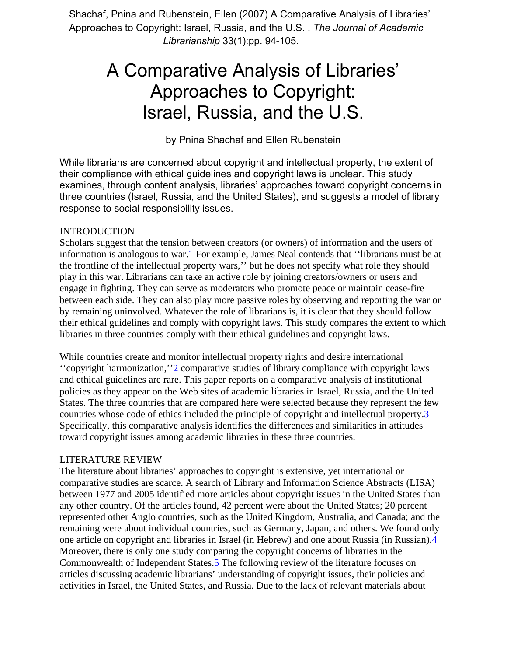Shachaf, Pnina and Rubenstein, Ellen (2007) A Comparative Analysis of Libraries' Approaches to Copyright: Israel, Russia, and the U.S. . *The Journal of Academic Librarianship* 33(1):pp. 94-105.

# A Comparative Analysis of Libraries' Approaches to Copyright: Israel, Russia, and the U.S.

by Pnina Shachaf and Ellen Rubenstein

While librarians are concerned about copyright and intellectual property, the extent of their compliance with ethical guidelines and copyright laws is unclear. This study examines, through content analysis, libraries' approaches toward copyright concerns in three countries (Israel, Russia, and the United States), and suggests a model of library response to social responsibility issues.

# INTRODUCTION

Scholars suggest that the tension between creators (or owners) of information and the users of information is analogous to war.1 For example, James Neal contends that ''librarians must be at the frontline of the intellectual property wars,'' but he does not specify what role they should play in this war. Librarians can take an active role by joining creators/owners or users and engage in fighting. They can serve as moderators who promote peace or maintain cease-fire between each side. They can also play more passive roles by observing and reporting the war or by remaining uninvolved. Whatever the role of librarians is, it is clear that they should follow their ethical guidelines and comply with copyright laws. This study compares the extent to which libraries in three countries comply with their ethical guidelines and copyright laws.

While countries create and monitor intellectual property rights and desire international ''copyright harmonization,''2 comparative studies of library compliance with copyright laws and ethical guidelines are rare. This paper reports on a comparative analysis of institutional policies as they appear on the Web sites of academic libraries in Israel, Russia, and the United States. The three countries that are compared here were selected because they represent the few countries whose code of ethics included the principle of copyright and intellectual property.3 Specifically, this comparative analysis identifies the differences and similarities in attitudes toward copyright issues among academic libraries in these three countries.

# LITERATURE REVIEW

The literature about libraries' approaches to copyright is extensive, yet international or comparative studies are scarce. A search of Library and Information Science Abstracts (LISA) between 1977 and 2005 identified more articles about copyright issues in the United States than any other country. Of the articles found, 42 percent were about the United States; 20 percent represented other Anglo countries, such as the United Kingdom, Australia, and Canada; and the remaining were about individual countries, such as Germany, Japan, and others. We found only one article on copyright and libraries in Israel (in Hebrew) and one about Russia (in Russian).4 Moreover, there is only one study comparing the copyright concerns of libraries in the Commonwealth of Independent States.5 The following review of the literature focuses on articles discussing academic librarians' understanding of copyright issues, their policies and activities in Israel, the United States, and Russia. Due to the lack of relevant materials about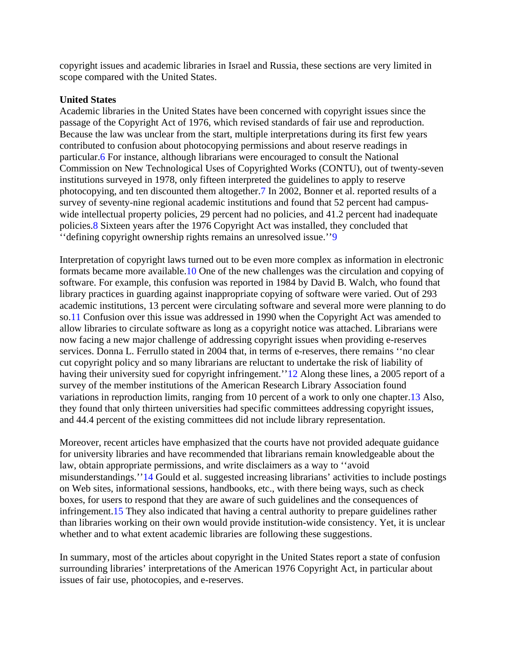copyright issues and academic libraries in Israel and Russia, these sections are very limited in scope compared with the United States.

#### **United States**

Academic libraries in the United States have been concerned with copyright issues since the passage of the Copyright Act of 1976, which revised standards of fair use and reproduction. Because the law was unclear from the start, multiple interpretations during its first few years contributed to confusion about photocopying permissions and about reserve readings in particular.6 For instance, although librarians were encouraged to consult the National Commission on New Technological Uses of Copyrighted Works (CONTU), out of twenty-seven institutions surveyed in 1978, only fifteen interpreted the guidelines to apply to reserve photocopying, and ten discounted them altogether.7 In 2002, Bonner et al. reported results of a survey of seventy-nine regional academic institutions and found that 52 percent had campuswide intellectual property policies, 29 percent had no policies, and 41.2 percent had inadequate policies.8 Sixteen years after the 1976 Copyright Act was installed, they concluded that ''defining copyright ownership rights remains an unresolved issue.''9

Interpretation of copyright laws turned out to be even more complex as information in electronic formats became more available.10 One of the new challenges was the circulation and copying of software. For example, this confusion was reported in 1984 by David B. Walch, who found that library practices in guarding against inappropriate copying of software were varied. Out of 293 academic institutions, 13 percent were circulating software and several more were planning to do so.11 Confusion over this issue was addressed in 1990 when the Copyright Act was amended to allow libraries to circulate software as long as a copyright notice was attached. Librarians were now facing a new major challenge of addressing copyright issues when providing e-reserves services. Donna L. Ferrullo stated in 2004 that, in terms of e-reserves, there remains ''no clear cut copyright policy and so many librarians are reluctant to undertake the risk of liability of having their university sued for copyright infringement." 12 Along these lines, a 2005 report of a survey of the member institutions of the American Research Library Association found variations in reproduction limits, ranging from 10 percent of a work to only one chapter.13 Also, they found that only thirteen universities had specific committees addressing copyright issues, and 44.4 percent of the existing committees did not include library representation.

Moreover, recent articles have emphasized that the courts have not provided adequate guidance for university libraries and have recommended that librarians remain knowledgeable about the law, obtain appropriate permissions, and write disclaimers as a way to ''avoid misunderstandings.''14 Gould et al. suggested increasing librarians' activities to include postings on Web sites, informational sessions, handbooks, etc., with there being ways, such as check boxes, for users to respond that they are aware of such guidelines and the consequences of infringement.15 They also indicated that having a central authority to prepare guidelines rather than libraries working on their own would provide institution-wide consistency. Yet, it is unclear whether and to what extent academic libraries are following these suggestions.

In summary, most of the articles about copyright in the United States report a state of confusion surrounding libraries' interpretations of the American 1976 Copyright Act, in particular about issues of fair use, photocopies, and e-reserves.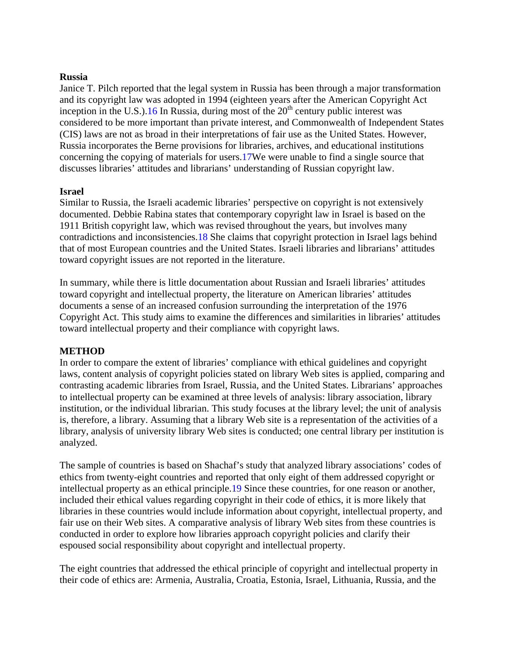#### **Russia**

Janice T. Pilch reported that the legal system in Russia has been through a major transformation and its copyright law was adopted in 1994 (eighteen years after the American Copyright Act inception in the U.S.).16 In Russia, during most of the  $20<sup>th</sup>$  century public interest was considered to be more important than private interest, and Commonwealth of Independent States (CIS) laws are not as broad in their interpretations of fair use as the United States. However, Russia incorporates the Berne provisions for libraries, archives, and educational institutions concerning the copying of materials for users.17We were unable to find a single source that discusses libraries' attitudes and librarians' understanding of Russian copyright law.

#### **Israel**

Similar to Russia, the Israeli academic libraries' perspective on copyright is not extensively documented. Debbie Rabina states that contemporary copyright law in Israel is based on the 1911 British copyright law, which was revised throughout the years, but involves many contradictions and inconsistencies.18 She claims that copyright protection in Israel lags behind that of most European countries and the United States. Israeli libraries and librarians' attitudes toward copyright issues are not reported in the literature.

In summary, while there is little documentation about Russian and Israeli libraries' attitudes toward copyright and intellectual property, the literature on American libraries' attitudes documents a sense of an increased confusion surrounding the interpretation of the 1976 Copyright Act. This study aims to examine the differences and similarities in libraries' attitudes toward intellectual property and their compliance with copyright laws.

#### **METHOD**

In order to compare the extent of libraries' compliance with ethical guidelines and copyright laws, content analysis of copyright policies stated on library Web sites is applied, comparing and contrasting academic libraries from Israel, Russia, and the United States. Librarians' approaches to intellectual property can be examined at three levels of analysis: library association, library institution, or the individual librarian. This study focuses at the library level; the unit of analysis is, therefore, a library. Assuming that a library Web site is a representation of the activities of a library, analysis of university library Web sites is conducted; one central library per institution is analyzed.

The sample of countries is based on Shachaf's study that analyzed library associations' codes of ethics from twenty-eight countries and reported that only eight of them addressed copyright or intellectual property as an ethical principle.19 Since these countries, for one reason or another, included their ethical values regarding copyright in their code of ethics, it is more likely that libraries in these countries would include information about copyright, intellectual property, and fair use on their Web sites. A comparative analysis of library Web sites from these countries is conducted in order to explore how libraries approach copyright policies and clarify their espoused social responsibility about copyright and intellectual property.

The eight countries that addressed the ethical principle of copyright and intellectual property in their code of ethics are: Armenia, Australia, Croatia, Estonia, Israel, Lithuania, Russia, and the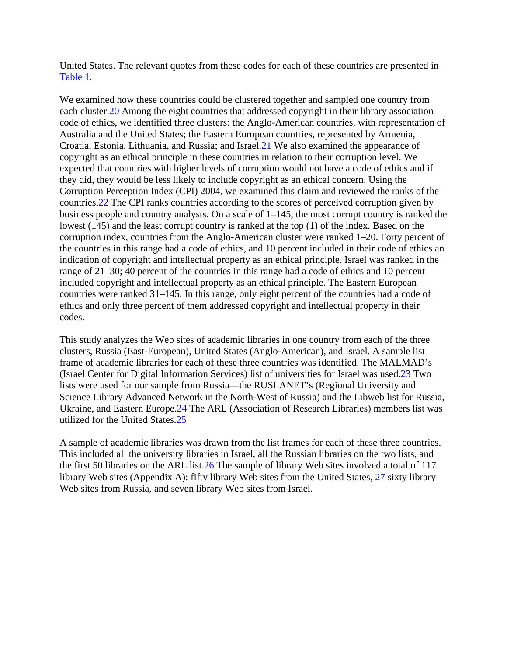United States. The relevant quotes from these codes for each of these countries are presented in Table 1.

We examined how these countries could be clustered together and sampled one country from each cluster.20 Among the eight countries that addressed copyright in their library association code of ethics, we identified three clusters: the Anglo-American countries, with representation of Australia and the United States; the Eastern European countries, represented by Armenia, Croatia, Estonia, Lithuania, and Russia; and Israel.21 We also examined the appearance of copyright as an ethical principle in these countries in relation to their corruption level. We expected that countries with higher levels of corruption would not have a code of ethics and if they did, they would be less likely to include copyright as an ethical concern. Using the Corruption Perception Index (CPI) 2004, we examined this claim and reviewed the ranks of the countries.22 The CPI ranks countries according to the scores of perceived corruption given by business people and country analysts. On a scale of 1–145, the most corrupt country is ranked the lowest (145) and the least corrupt country is ranked at the top (1) of the index. Based on the corruption index, countries from the Anglo-American cluster were ranked 1–20. Forty percent of the countries in this range had a code of ethics, and 10 percent included in their code of ethics an indication of copyright and intellectual property as an ethical principle. Israel was ranked in the range of 21–30; 40 percent of the countries in this range had a code of ethics and 10 percent included copyright and intellectual property as an ethical principle. The Eastern European countries were ranked 31–145. In this range, only eight percent of the countries had a code of ethics and only three percent of them addressed copyright and intellectual property in their codes.

This study analyzes the Web sites of academic libraries in one country from each of the three clusters, Russia (East-European), United States (Anglo-American), and Israel. A sample list frame of academic libraries for each of these three countries was identified. The MALMAD's (Israel Center for Digital Information Services) list of universities for Israel was used.23 Two lists were used for our sample from Russia—the RUSLANET's (Regional University and Science Library Advanced Network in the North-West of Russia) and the Libweb list for Russia, Ukraine, and Eastern Europe.24 The ARL (Association of Research Libraries) members list was utilized for the United States.25

A sample of academic libraries was drawn from the list frames for each of these three countries. This included all the university libraries in Israel, all the Russian libraries on the two lists, and the first 50 libraries on the ARL list.26 The sample of library Web sites involved a total of 117 library Web sites (Appendix A): fifty library Web sites from the United States, 27 sixty library Web sites from Russia, and seven library Web sites from Israel.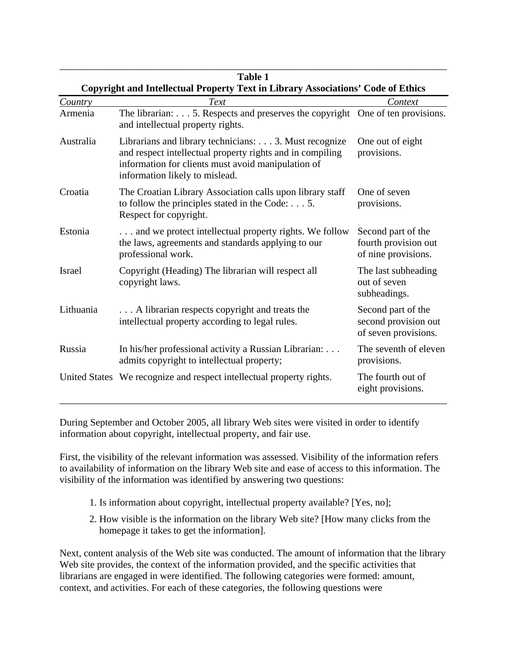|                                                                                  | <b>Table 1</b>                                                                                                                                                                                             |                                                                    |
|----------------------------------------------------------------------------------|------------------------------------------------------------------------------------------------------------------------------------------------------------------------------------------------------------|--------------------------------------------------------------------|
| Copyright and Intellectual Property Text in Library Associations' Code of Ethics |                                                                                                                                                                                                            |                                                                    |
| Country                                                                          | Text                                                                                                                                                                                                       | Context                                                            |
| Armenia                                                                          | The librarian: 5. Respects and preserves the copyright One of ten provisions.<br>and intellectual property rights.                                                                                         |                                                                    |
| Australia                                                                        | Librarians and library technicians: 3. Must recognize<br>and respect intellectual property rights and in compiling<br>information for clients must avoid manipulation of<br>information likely to mislead. | One out of eight<br>provisions.                                    |
| Croatia                                                                          | The Croatian Library Association calls upon library staff<br>to follow the principles stated in the Code: $\dots$ 5.<br>Respect for copyright.                                                             | One of seven<br>provisions.                                        |
| Estonia                                                                          | and we protect intellectual property rights. We follow<br>the laws, agreements and standards applying to our<br>professional work.                                                                         | Second part of the<br>fourth provision out<br>of nine provisions.  |
| Israel                                                                           | Copyright (Heading) The librarian will respect all<br>copyright laws.                                                                                                                                      | The last subheading<br>out of seven<br>subheadings.                |
| Lithuania                                                                        | A librarian respects copyright and treats the<br>intellectual property according to legal rules.                                                                                                           | Second part of the<br>second provision out<br>of seven provisions. |
| Russia                                                                           | In his/her professional activity a Russian Librarian:<br>admits copyright to intellectual property;                                                                                                        | The seventh of eleven<br>provisions.                               |
|                                                                                  | United States We recognize and respect intellectual property rights.                                                                                                                                       | The fourth out of<br>eight provisions.                             |

During September and October 2005, all library Web sites were visited in order to identify information about copyright, intellectual property, and fair use.

First, the visibility of the relevant information was assessed. Visibility of the information refers to availability of information on the library Web site and ease of access to this information. The visibility of the information was identified by answering two questions:

- 1. Is information about copyright, intellectual property available? [Yes, no];
- 2. How visible is the information on the library Web site? [How many clicks from the homepage it takes to get the information].

Next, content analysis of the Web site was conducted. The amount of information that the library Web site provides, the context of the information provided, and the specific activities that librarians are engaged in were identified. The following categories were formed: amount, context, and activities. For each of these categories, the following questions were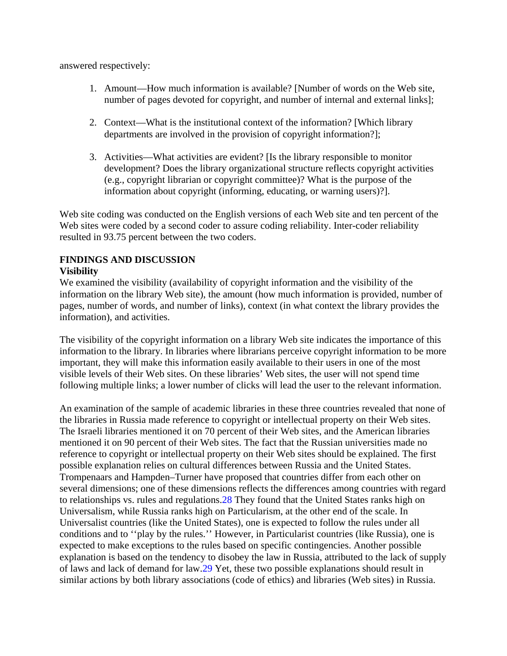answered respectively:

- 1. Amount—How much information is available? [Number of words on the Web site, number of pages devoted for copyright, and number of internal and external links];
- 2. Context—What is the institutional context of the information? [Which library departments are involved in the provision of copyright information?];
- 3. Activities—What activities are evident? [Is the library responsible to monitor development? Does the library organizational structure reflects copyright activities (e.g., copyright librarian or copyright committee)? What is the purpose of the information about copyright (informing, educating, or warning users)?].

Web site coding was conducted on the English versions of each Web site and ten percent of the Web sites were coded by a second coder to assure coding reliability. Inter-coder reliability resulted in 93.75 percent between the two coders.

# **FINDINGS AND DISCUSSION**

# **Visibility**

We examined the visibility (availability of copyright information and the visibility of the information on the library Web site), the amount (how much information is provided, number of pages, number of words, and number of links), context (in what context the library provides the information), and activities.

The visibility of the copyright information on a library Web site indicates the importance of this information to the library. In libraries where librarians perceive copyright information to be more important, they will make this information easily available to their users in one of the most visible levels of their Web sites. On these libraries' Web sites, the user will not spend time following multiple links; a lower number of clicks will lead the user to the relevant information.

An examination of the sample of academic libraries in these three countries revealed that none of the libraries in Russia made reference to copyright or intellectual property on their Web sites. The Israeli libraries mentioned it on 70 percent of their Web sites, and the American libraries mentioned it on 90 percent of their Web sites. The fact that the Russian universities made no reference to copyright or intellectual property on their Web sites should be explained. The first possible explanation relies on cultural differences between Russia and the United States. Trompenaars and Hampden–Turner have proposed that countries differ from each other on several dimensions; one of these dimensions reflects the differences among countries with regard to relationships vs. rules and regulations.28 They found that the United States ranks high on Universalism, while Russia ranks high on Particularism, at the other end of the scale. In Universalist countries (like the United States), one is expected to follow the rules under all conditions and to ''play by the rules.'' However, in Particularist countries (like Russia), one is expected to make exceptions to the rules based on specific contingencies. Another possible explanation is based on the tendency to disobey the law in Russia, attributed to the lack of supply of laws and lack of demand for law.29 Yet, these two possible explanations should result in similar actions by both library associations (code of ethics) and libraries (Web sites) in Russia.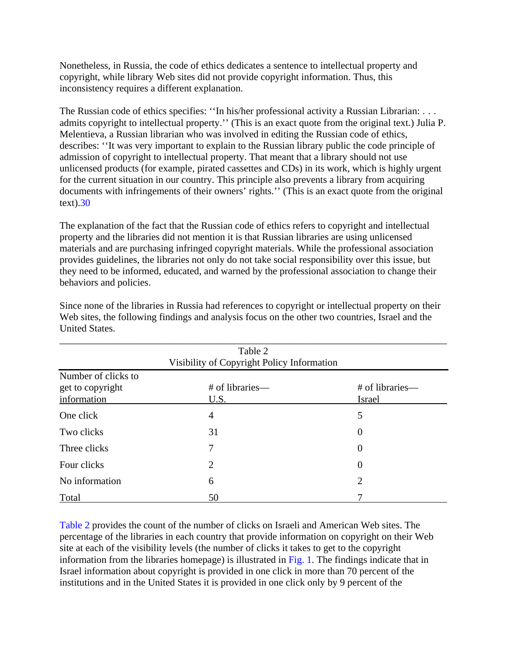Nonetheless, in Russia, the code of ethics dedicates a sentence to intellectual property and copyright, while library Web sites did not provide copyright information. Thus, this inconsistency requires a different explanation.

The Russian code of ethics specifies: ''In his/her professional activity a Russian Librarian: . . . admits copyright to intellectual property.'' (This is an exact quote from the original text.) Julia P. Melentieva, a Russian librarian who was involved in editing the Russian code of ethics, describes: ''It was very important to explain to the Russian library public the code principle of admission of copyright to intellectual property. That meant that a library should not use unlicensed products (for example, pirated cassettes and CDs) in its work, which is highly urgent for the current situation in our country. This principle also prevents a library from acquiring documents with infringements of their owners' rights.'' (This is an exact quote from the original text).30

The explanation of the fact that the Russian code of ethics refers to copyright and intellectual property and the libraries did not mention it is that Russian libraries are using unlicensed materials and are purchasing infringed copyright materials. While the professional association provides guidelines, the libraries not only do not take social responsibility over this issue, but they need to be informed, educated, and warned by the professional association to change their behaviors and policies.

| Table 2                                                |                         |                                  |  |
|--------------------------------------------------------|-------------------------|----------------------------------|--|
| Visibility of Copyright Policy Information             |                         |                                  |  |
| Number of clicks to<br>get to copyright<br>information | # of libraries—<br>U.S. | # of libraries—<br><b>Israel</b> |  |
| One click                                              | 4                       | 5                                |  |
| Two clicks                                             | 31                      | $\boldsymbol{0}$                 |  |
| Three clicks                                           | 7                       | $\overline{0}$                   |  |
| Four clicks                                            | 2                       | $\theta$                         |  |
| No information                                         | 6                       | $\overline{2}$                   |  |
| Total                                                  | 50                      |                                  |  |

Since none of the libraries in Russia had references to copyright or intellectual property on their Web sites, the following findings and analysis focus on the other two countries, Israel and the United States.

Table 2 provides the count of the number of clicks on Israeli and American Web sites. The percentage of the libraries in each country that provide information on copyright on their Web site at each of the visibility levels (the number of clicks it takes to get to the copyright information from the libraries homepage) is illustrated in Fig. 1. The findings indicate that in Israel information about copyright is provided in one click in more than 70 percent of the institutions and in the United States it is provided in one click only by 9 percent of the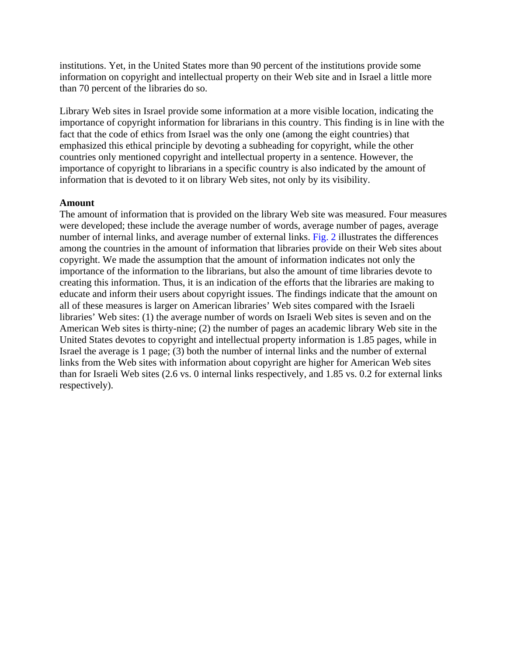institutions. Yet, in the United States more than 90 percent of the institutions provide some information on copyright and intellectual property on their Web site and in Israel a little more than 70 percent of the libraries do so.

Library Web sites in Israel provide some information at a more visible location, indicating the importance of copyright information for librarians in this country. This finding is in line with the fact that the code of ethics from Israel was the only one (among the eight countries) that emphasized this ethical principle by devoting a subheading for copyright, while the other countries only mentioned copyright and intellectual property in a sentence. However, the importance of copyright to librarians in a specific country is also indicated by the amount of information that is devoted to it on library Web sites, not only by its visibility.

#### **Amount**

The amount of information that is provided on the library Web site was measured. Four measures were developed; these include the average number of words, average number of pages, average number of internal links, and average number of external links. Fig. 2 illustrates the differences among the countries in the amount of information that libraries provide on their Web sites about copyright. We made the assumption that the amount of information indicates not only the importance of the information to the librarians, but also the amount of time libraries devote to creating this information. Thus, it is an indication of the efforts that the libraries are making to educate and inform their users about copyright issues. The findings indicate that the amount on all of these measures is larger on American libraries' Web sites compared with the Israeli libraries' Web sites: (1) the average number of words on Israeli Web sites is seven and on the American Web sites is thirty-nine; (2) the number of pages an academic library Web site in the United States devotes to copyright and intellectual property information is 1.85 pages, while in Israel the average is 1 page; (3) both the number of internal links and the number of external links from the Web sites with information about copyright are higher for American Web sites than for Israeli Web sites (2.6 vs. 0 internal links respectively, and 1.85 vs. 0.2 for external links respectively).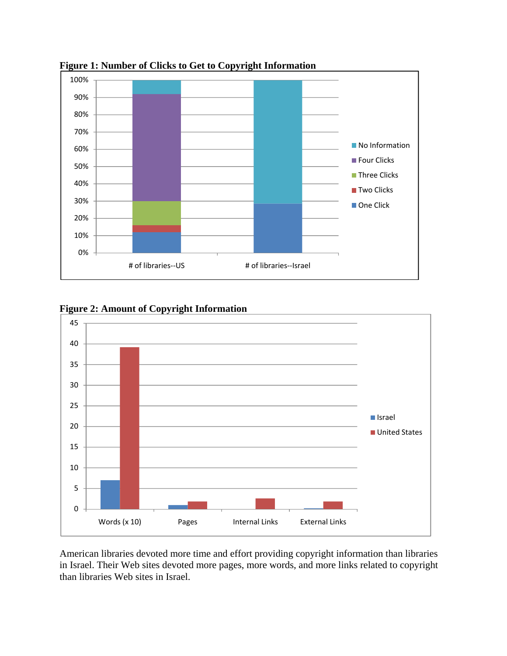

**Figure 1: Number of Clicks to Get to Copyright Information**

**Figure 2: Amount of Copyright Information** 



American libraries devoted more time and effort providing copyright information than libraries in Israel. Their Web sites devoted more pages, more words, and more links related to copyright than libraries Web sites in Israel.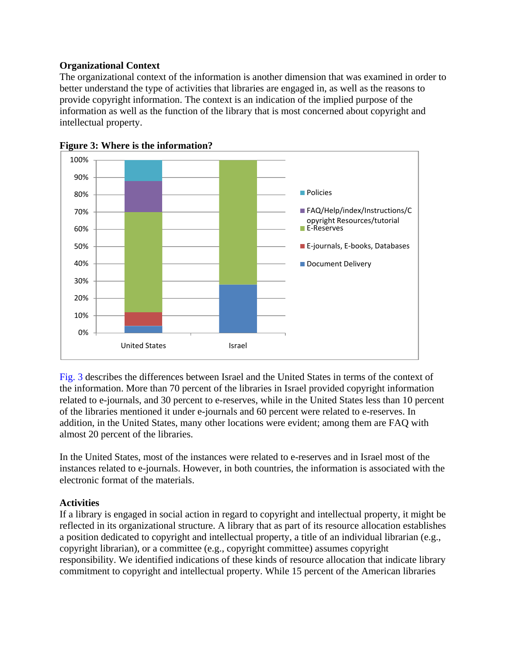# **Organizational Context**

The organizational context of the information is another dimension that was examined in order to better understand the type of activities that libraries are engaged in, as well as the reasons to provide copyright information. The context is an indication of the implied purpose of the information as well as the function of the library that is most concerned about copyright and intellectual property.





Fig. 3 describes the differences between Israel and the United States in terms of the context of the information. More than 70 percent of the libraries in Israel provided copyright information related to e-journals, and 30 percent to e-reserves, while in the United States less than 10 percent of the libraries mentioned it under e-journals and 60 percent were related to e-reserves. In addition, in the United States, many other locations were evident; among them are FAQ with almost 20 percent of the libraries.

In the United States, most of the instances were related to e-reserves and in Israel most of the instances related to e-journals. However, in both countries, the information is associated with the electronic format of the materials.

# **Activities**

If a library is engaged in social action in regard to copyright and intellectual property, it might be reflected in its organizational structure. A library that as part of its resource allocation establishes a position dedicated to copyright and intellectual property, a title of an individual librarian (e.g., copyright librarian), or a committee (e.g., copyright committee) assumes copyright responsibility. We identified indications of these kinds of resource allocation that indicate library commitment to copyright and intellectual property. While 15 percent of the American libraries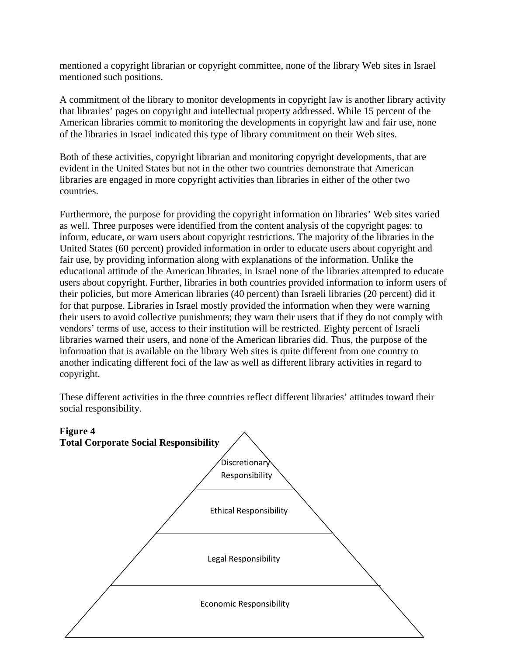mentioned a copyright librarian or copyright committee, none of the library Web sites in Israel mentioned such positions.

A commitment of the library to monitor developments in copyright law is another library activity that libraries' pages on copyright and intellectual property addressed. While 15 percent of the American libraries commit to monitoring the developments in copyright law and fair use, none of the libraries in Israel indicated this type of library commitment on their Web sites.

Both of these activities, copyright librarian and monitoring copyright developments, that are evident in the United States but not in the other two countries demonstrate that American libraries are engaged in more copyright activities than libraries in either of the other two countries.

Furthermore, the purpose for providing the copyright information on libraries' Web sites varied as well. Three purposes were identified from the content analysis of the copyright pages: to inform, educate, or warn users about copyright restrictions. The majority of the libraries in the United States (60 percent) provided information in order to educate users about copyright and fair use, by providing information along with explanations of the information. Unlike the educational attitude of the American libraries, in Israel none of the libraries attempted to educate users about copyright. Further, libraries in both countries provided information to inform users of their policies, but more American libraries (40 percent) than Israeli libraries (20 percent) did it for that purpose. Libraries in Israel mostly provided the information when they were warning their users to avoid collective punishments; they warn their users that if they do not comply with vendors' terms of use, access to their institution will be restricted. Eighty percent of Israeli libraries warned their users, and none of the American libraries did. Thus, the purpose of the information that is available on the library Web sites is quite different from one country to another indicating different foci of the law as well as different library activities in regard to copyright.

These different activities in the three countries reflect different libraries' attitudes toward their social responsibility.

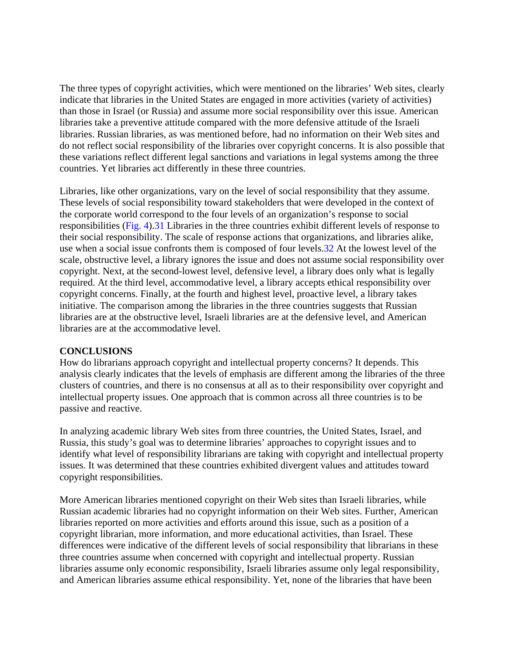The three types of copyright activities, which were mentioned on the libraries' Web sites, clearly indicate that libraries in the United States are engaged in more activities (variety of activities) than those in Israel (or Russia) and assume more social responsibility over this issue. American libraries take a preventive attitude compared with the more defensive attitude of the Israeli libraries. Russian libraries, as was mentioned before, had no information on their Web sites and do not reflect social responsibility of the libraries over copyright concerns. It is also possible that these variations reflect different legal sanctions and variations in legal systems among the three countries. Yet libraries act differently in these three countries.

Libraries, like other organizations, vary on the level of social responsibility that they assume. These levels of social responsibility toward stakeholders that were developed in the context of the corporate world correspond to the four levels of an organization's response to social responsibilities (Fig. 4).31 Libraries in the three countries exhibit different levels of response to their social responsibility. The scale of response actions that organizations, and libraries alike, use when a social issue confronts them is composed of four levels.32 At the lowest level of the scale, obstructive level, a library ignores the issue and does not assume social responsibility over copyright. Next, at the second-lowest level, defensive level, a library does only what is legally required. At the third level, accommodative level, a library accepts ethical responsibility over copyright concerns. Finally, at the fourth and highest level, proactive level, a library takes initiative. The comparison among the libraries in the three countries suggests that Russian libraries are at the obstructive level, Israeli libraries are at the defensive level, and American libraries are at the accommodative level.

#### **CONCLUSIONS**

How do librarians approach copyright and intellectual property concerns? It depends. This analysis clearly indicates that the levels of emphasis are different among the libraries of the three clusters of countries, and there is no consensus at all as to their responsibility over copyright and intellectual property issues. One approach that is common across all three countries is to be passive and reactive.

In analyzing academic library Web sites from three countries, the United States, Israel, and Russia, this study's goal was to determine libraries' approaches to copyright issues and to identify what level of responsibility librarians are taking with copyright and intellectual property issues. It was determined that these countries exhibited divergent values and attitudes toward copyright responsibilities.

More American libraries mentioned copyright on their Web sites than Israeli libraries, while Russian academic libraries had no copyright information on their Web sites. Further, American libraries reported on more activities and efforts around this issue, such as a position of a copyright librarian, more information, and more educational activities, than Israel. These differences were indicative of the different levels of social responsibility that librarians in these three countries assume when concerned with copyright and intellectual property. Russian libraries assume only economic responsibility, Israeli libraries assume only legal responsibility, and American libraries assume ethical responsibility. Yet, none of the libraries that have been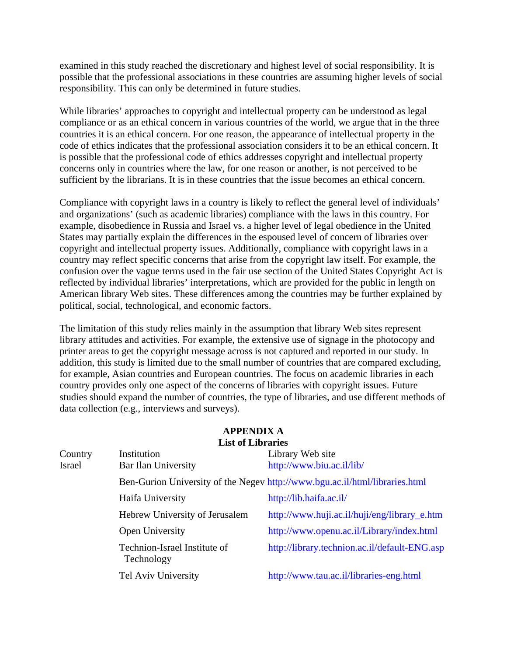examined in this study reached the discretionary and highest level of social responsibility. It is possible that the professional associations in these countries are assuming higher levels of social responsibility. This can only be determined in future studies.

While libraries' approaches to copyright and intellectual property can be understood as legal compliance or as an ethical concern in various countries of the world, we argue that in the three countries it is an ethical concern. For one reason, the appearance of intellectual property in the code of ethics indicates that the professional association considers it to be an ethical concern. It is possible that the professional code of ethics addresses copyright and intellectual property concerns only in countries where the law, for one reason or another, is not perceived to be sufficient by the librarians. It is in these countries that the issue becomes an ethical concern.

Compliance with copyright laws in a country is likely to reflect the general level of individuals' and organizations' (such as academic libraries) compliance with the laws in this country. For example, disobedience in Russia and Israel vs. a higher level of legal obedience in the United States may partially explain the differences in the espoused level of concern of libraries over copyright and intellectual property issues. Additionally, compliance with copyright laws in a country may reflect specific concerns that arise from the copyright law itself. For example, the confusion over the vague terms used in the fair use section of the United States Copyright Act is reflected by individual libraries' interpretations, which are provided for the public in length on American library Web sites. These differences among the countries may be further explained by political, social, technological, and economic factors.

The limitation of this study relies mainly in the assumption that library Web sites represent library attitudes and activities. For example, the extensive use of signage in the photocopy and printer areas to get the copyright message across is not captured and reported in our study. In addition, this study is limited due to the small number of countries that are compared excluding, for example, Asian countries and European countries. The focus on academic libraries in each country provides only one aspect of the concerns of libraries with copyright issues. Future studies should expand the number of countries, the type of libraries, and use different methods of data collection (e.g., interviews and surveys).

|         | <b>List of Libraries</b>                   |                                                                             |
|---------|--------------------------------------------|-----------------------------------------------------------------------------|
| Country | Institution                                | Library Web site                                                            |
| Israel  | Bar Ilan University                        | http://www.biu.ac.il/lib/                                                   |
|         |                                            | Ben-Gurion University of the Negev http://www.bgu.ac.il/html/libraries.html |
|         | Haifa University                           | http://lib.haifa.ac.il/                                                     |
|         | Hebrew University of Jerusalem             | http://www.huji.ac.il/huji/eng/library_e.htm                                |
|         | Open University                            | http://www.openu.ac.il/Library/index.html                                   |
|         | Technion-Israel Institute of<br>Technology | http://library.technion.ac.il/default-ENG.asp                               |
|         | Tel Aviv University                        | http://www.tau.ac.il/libraries-eng.html                                     |

#### **APPENDIX A List of Libraries**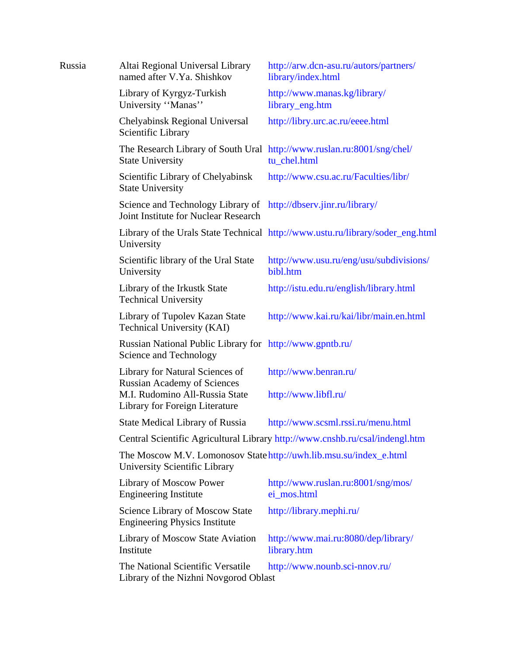| Russia | Altai Regional Universal Library<br>named after V.Ya. Shishkov                                                  | http://arw.dcn-asu.ru/autors/partners/<br>library/index.html                           |  |
|--------|-----------------------------------------------------------------------------------------------------------------|----------------------------------------------------------------------------------------|--|
|        | Library of Kyrgyz-Turkish<br>University "Manas"                                                                 | http://www.manas.kg/library/<br>library_eng.htm                                        |  |
|        | Chelyabinsk Regional Universal<br>Scientific Library                                                            | http://libry.urc.ac.ru/eeee.html                                                       |  |
|        | <b>State University</b>                                                                                         | The Research Library of South Ural http://www.ruslan.ru:8001/sng/chel/<br>tu_chel.html |  |
|        | Scientific Library of Chelyabinsk<br><b>State University</b>                                                    | http://www.csu.ac.ru/Faculties/libr/                                                   |  |
|        | Science and Technology Library of http://dbserv.jinr.ru/library/<br><b>Joint Institute for Nuclear Research</b> |                                                                                        |  |
|        | University                                                                                                      | Library of the Urals State Technical http://www.ustu.ru/library/soder_eng.html         |  |
|        | Scientific library of the Ural State<br>University                                                              | http://www.usu.ru/eng/usu/subdivisions/<br>bibl.htm                                    |  |
|        | Library of the Irkustk State<br><b>Technical University</b>                                                     | http://istu.edu.ru/english/library.html                                                |  |
|        | Library of Tupolev Kazan State<br>Technical University (KAI)                                                    | http://www.kai.ru/kai/libr/main.en.html                                                |  |
|        | Russian National Public Library for http://www.gpntb.ru/<br>Science and Technology                              |                                                                                        |  |
|        | Library for Natural Sciences of<br><b>Russian Academy of Sciences</b>                                           | http://www.benran.ru/                                                                  |  |
|        | M.I. Rudomino All-Russia State<br>Library for Foreign Literature                                                | http://www.libfl.ru/                                                                   |  |
|        | <b>State Medical Library of Russia</b>                                                                          | http://www.scsml.rssi.ru/menu.html                                                     |  |
|        | Central Scientific Agricultural Library http://www.cnshb.ru/csal/indengl.htm                                    |                                                                                        |  |
|        | The Moscow M.V. Lomonosov State http://uwh.lib.msu.su/index_e.html<br>University Scientific Library             |                                                                                        |  |
|        | Library of Moscow Power<br><b>Engineering Institute</b>                                                         | http://www.ruslan.ru:8001/sng/mos/<br>ei_mos.html                                      |  |
|        | <b>Science Library of Moscow State</b><br><b>Engineering Physics Institute</b>                                  | http://library.mephi.ru/                                                               |  |
|        | Library of Moscow State Aviation<br>Institute                                                                   | http://www.mai.ru:8080/dep/library/<br>library.htm                                     |  |
|        | The National Scientific Versatile<br>Library of the Nizhni Novgorod Oblast                                      | http://www.nounb.sci-nnov.ru/                                                          |  |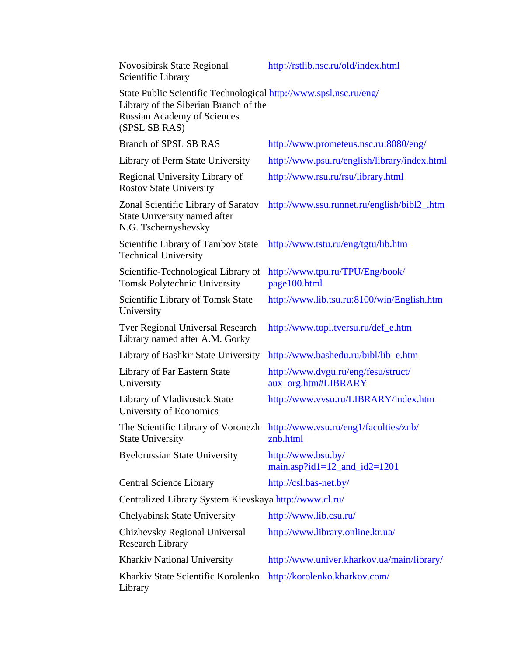| <b>Novosibirsk State Regional</b><br>Scientific Library                                                                                                           | http://rstlib.nsc.ru/old/index.html                        |
|-------------------------------------------------------------------------------------------------------------------------------------------------------------------|------------------------------------------------------------|
| State Public Scientific Technological http://www.spsl.nsc.ru/eng/<br>Library of the Siberian Branch of the<br><b>Russian Academy of Sciences</b><br>(SPSL SB RAS) |                                                            |
| <b>Branch of SPSL SB RAS</b>                                                                                                                                      | http://www.prometeus.nsc.ru:8080/eng/                      |
| Library of Perm State University                                                                                                                                  | http://www.psu.ru/english/library/index.html               |
| Regional University Library of<br><b>Rostov State University</b>                                                                                                  | http://www.rsu.ru/rsu/library.html                         |
| Zonal Scientific Library of Saratov<br>State University named after<br>N.G. Tschernyshevsky                                                                       | http://www.ssu.runnet.ru/english/bibl2_.htm                |
| Scientific Library of Tambov State<br><b>Technical University</b>                                                                                                 | http://www.tstu.ru/eng/tgtu/lib.htm                        |
| Scientific-Technological Library of<br><b>Tomsk Polytechnic University</b>                                                                                        | http://www.tpu.ru/TPU/Eng/book/<br>page100.html            |
| Scientific Library of Tomsk State<br>University                                                                                                                   | http://www.lib.tsu.ru:8100/win/English.htm                 |
| <b>Tver Regional Universal Research</b><br>Library named after A.M. Gorky                                                                                         | http://www.topl.tversu.ru/def_e.htm                        |
| Library of Bashkir State University                                                                                                                               | http://www.bashedu.ru/bibl/lib_e.htm                       |
| Library of Far Eastern State<br>University                                                                                                                        | http://www.dvgu.ru/eng/fesu/struct/<br>aux_org.htm#LIBRARY |
| Library of Vladivostok State<br>University of Economics                                                                                                           | http://www.vvsu.ru/LIBRARY/index.htm                       |
| The Scientific Library of Voronezh<br><b>State University</b>                                                                                                     | http://www.vsu.ru/eng1/faculties/znb/<br>znb.html          |
| <b>Byelorussian State University</b>                                                                                                                              | http://www.bsu.by/<br>main.asp?id1=12_and_id2=1201         |
| <b>Central Science Library</b>                                                                                                                                    | http://csl.bas-net.by/                                     |
| Centralized Library System Kievskaya http://www.cl.ru/                                                                                                            |                                                            |
| Chelyabinsk State University                                                                                                                                      | http://www.lib.csu.ru/                                     |
| Chizhevsky Regional Universal<br><b>Research Library</b>                                                                                                          | http://www.library.online.kr.ua/                           |
| Kharkiv National University                                                                                                                                       | http://www.univer.kharkov.ua/main/library/                 |
| Kharkiv State Scientific Korolenko<br>Library                                                                                                                     | http://korolenko.kharkov.com/                              |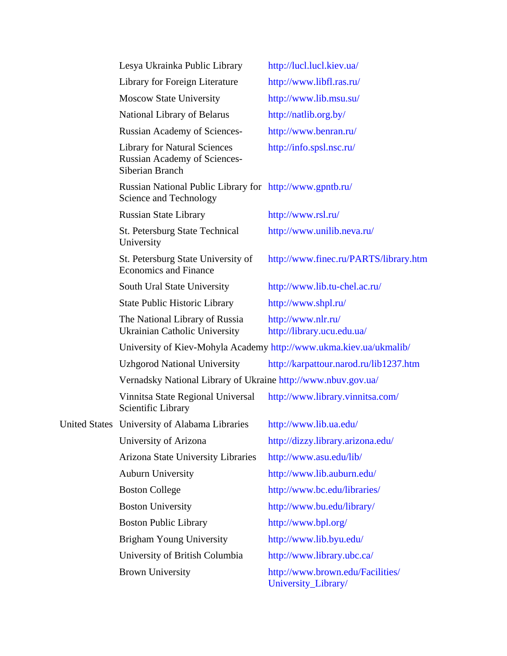| Lesya Ukrainka Public Library                                                                 | http://lucl.lucl.kiev.ua/                                          |
|-----------------------------------------------------------------------------------------------|--------------------------------------------------------------------|
| Library for Foreign Literature                                                                | http://www.libfl.ras.ru/                                           |
| <b>Moscow State University</b>                                                                | http://www.lib.msu.su/                                             |
| National Library of Belarus                                                                   | http://natlib.org.by/                                              |
| <b>Russian Academy of Sciences-</b>                                                           | http://www.benran.ru/                                              |
| <b>Library for Natural Sciences</b><br><b>Russian Academy of Sciences-</b><br>Siberian Branch | http://info.spsl.nsc.ru/                                           |
| Russian National Public Library for http://www.gpntb.ru/<br>Science and Technology            |                                                                    |
| <b>Russian State Library</b>                                                                  | http://www.rsl.ru/                                                 |
| <b>St. Petersburg State Technical</b><br>University                                           | http://www.unilib.neva.ru/                                         |
| St. Petersburg State University of<br><b>Economics and Finance</b>                            | http://www.finec.ru/PARTS/library.htm                              |
| South Ural State University                                                                   | http://www.lib.tu-chel.ac.ru/                                      |
| <b>State Public Historic Library</b>                                                          | http://www.shpl.ru/                                                |
| The National Library of Russia<br><b>Ukrainian Catholic University</b>                        | http://www.nlr.ru/<br>http://library.ucu.edu.ua/                   |
|                                                                                               | University of Kiev-Mohyla Academy http://www.ukma.kiev.ua/ukmalib/ |
| <b>Uzhgorod National University</b>                                                           | http://karpattour.narod.ru/lib1237.htm                             |
| Vernadsky National Library of Ukraine http://www.nbuv.gov.ua/                                 |                                                                    |
| Vinnitsa State Regional Universal<br>Scientific Library                                       | http://www.library.vinnitsa.com/                                   |
| United States University of Alabama Libraries                                                 | http://www.lib.ua.edu/                                             |
| University of Arizona                                                                         | http://dizzy.library.arizona.edu/                                  |
| Arizona State University Libraries                                                            | http://www.asu.edu/lib/                                            |
| <b>Auburn University</b>                                                                      | http://www.lib.auburn.edu/                                         |
| <b>Boston College</b>                                                                         | http://www.bc.edu/libraries/                                       |
| <b>Boston University</b>                                                                      | http://www.bu.edu/library/                                         |
| <b>Boston Public Library</b>                                                                  | http://www.bpl.org/                                                |
| <b>Brigham Young University</b>                                                               | http://www.lib.byu.edu/                                            |
| University of British Columbia                                                                | http://www.library.ubc.ca/                                         |
| <b>Brown University</b>                                                                       | http://www.brown.edu/Facilities/<br>University_Library/            |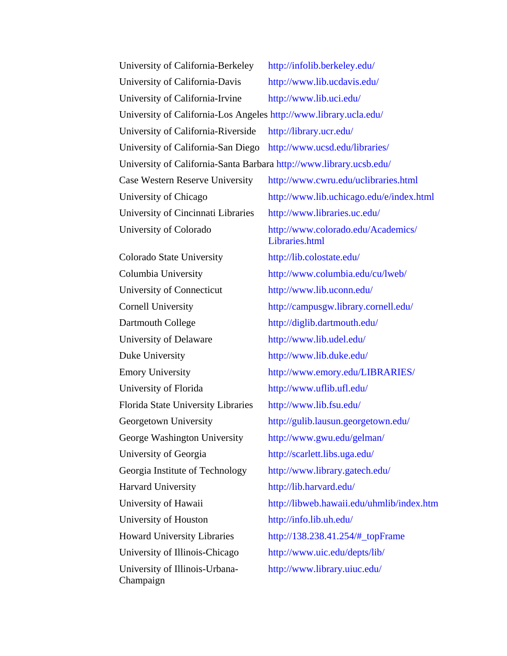| University of California-Berkeley                                   | http://infolib.berkeley.edu/                         |
|---------------------------------------------------------------------|------------------------------------------------------|
| University of California-Davis                                      | http://www.lib.ucdavis.edu/                          |
| University of California-Irvine                                     | http://www.lib.uci.edu/                              |
| University of California-Los Angeles http://www.library.ucla.edu/   |                                                      |
| University of California-Riverside                                  | http://library.ucr.edu/                              |
| University of California-San Diego                                  | http://www.ucsd.edu/libraries/                       |
| University of California-Santa Barbara http://www.library.ucsb.edu/ |                                                      |
| Case Western Reserve University                                     | http://www.cwru.edu/uclibraries.html                 |
| University of Chicago                                               | http://www.lib.uchicago.edu/e/index.html             |
| University of Cincinnati Libraries                                  | http://www.libraries.uc.edu/                         |
| University of Colorado                                              | http://www.colorado.edu/Academics/<br>Libraries.html |
| Colorado State University                                           | http://lib.colostate.edu/                            |
| Columbia University                                                 | http://www.columbia.edu/cu/lweb/                     |
| University of Connecticut                                           | http://www.lib.uconn.edu/                            |
| <b>Cornell University</b>                                           | http://campusgw.library.cornell.edu/                 |
| Dartmouth College                                                   | http://diglib.dartmouth.edu/                         |
| University of Delaware                                              | http://www.lib.udel.edu/                             |
| Duke University                                                     | http://www.lib.duke.edu/                             |
| <b>Emory University</b>                                             | http://www.emory.edu/LIBRARIES/                      |
| University of Florida                                               | http://www.uflib.ufl.edu/                            |
| Florida State University Libraries                                  | http://www.lib.fsu.edu/                              |
| Georgetown University                                               | http://gulib.lausun.georgetown.edu/                  |
| George Washington University                                        | http://www.gwu.edu/gelman/                           |
| University of Georgia                                               | http://scarlett.libs.uga.edu/                        |
| Georgia Institute of Technology                                     | http://www.library.gatech.edu/                       |
| Harvard University                                                  | http://lib.harvard.edu/                              |
| University of Hawaii                                                | http://libweb.hawaii.edu/uhmlib/index.htm            |
| University of Houston                                               | http://info.lib.uh.edu/                              |
| <b>Howard University Libraries</b>                                  | http://138.238.41.254/#_topFrame                     |
| University of Illinois-Chicago                                      | http://www.uic.edu/depts/lib/                        |
| University of Illinois-Urbana-<br>Champaign                         | http://www.library.uiuc.edu/                         |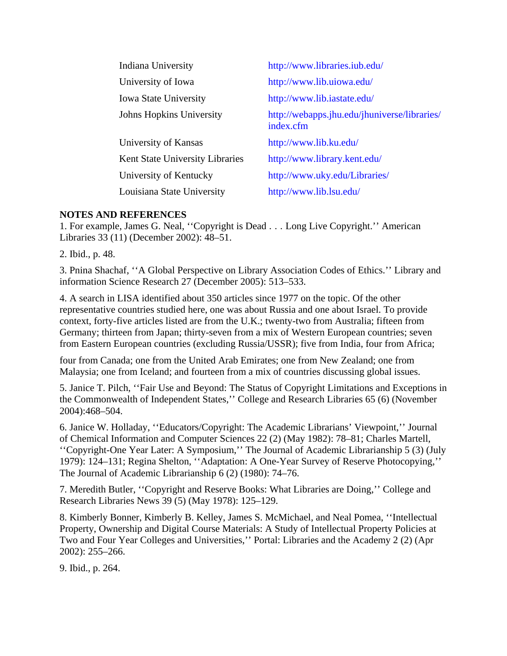| Indiana University              | http://www.libraries.iub.edu/                             |
|---------------------------------|-----------------------------------------------------------|
| University of Iowa              | http://www.lib.uiowa.edu/                                 |
| <b>Iowa State University</b>    | http://www.lib.iastate.edu/                               |
| Johns Hopkins University        | http://webapps.jhu.edu/jhuniverse/libraries/<br>index.cfm |
| University of Kansas            | http://www.lib.ku.edu/                                    |
| Kent State University Libraries | http://www.library.kent.edu/                              |
| University of Kentucky          | http://www.uky.edu/Libraries/                             |
| Louisiana State University      | http://www.lib.lsu.edu/                                   |

# **NOTES AND REFERENCES**

1. For example, James G. Neal, ''Copyright is Dead . . . Long Live Copyright.'' American Libraries 33 (11) (December 2002): 48–51.

2. Ibid., p. 48.

3. Pnina Shachaf, ''A Global Perspective on Library Association Codes of Ethics.'' Library and information Science Research 27 (December 2005): 513–533.

4. A search in LISA identified about 350 articles since 1977 on the topic. Of the other representative countries studied here, one was about Russia and one about Israel. To provide context, forty-five articles listed are from the U.K.; twenty-two from Australia; fifteen from Germany; thirteen from Japan; thirty-seven from a mix of Western European countries; seven from Eastern European countries (excluding Russia/USSR); five from India, four from Africa;

four from Canada; one from the United Arab Emirates; one from New Zealand; one from Malaysia; one from Iceland; and fourteen from a mix of countries discussing global issues.

5. Janice T. Pilch, ''Fair Use and Beyond: The Status of Copyright Limitations and Exceptions in the Commonwealth of Independent States,'' College and Research Libraries 65 (6) (November 2004):468–504.

6. Janice W. Holladay, ''Educators/Copyright: The Academic Librarians' Viewpoint,'' Journal of Chemical Information and Computer Sciences 22 (2) (May 1982): 78–81; Charles Martell, ''Copyright-One Year Later: A Symposium,'' The Journal of Academic Librarianship 5 (3) (July 1979): 124–131; Regina Shelton, ''Adaptation: A One-Year Survey of Reserve Photocopying,'' The Journal of Academic Librarianship 6 (2) (1980): 74–76.

7. Meredith Butler, ''Copyright and Reserve Books: What Libraries are Doing,'' College and Research Libraries News 39 (5) (May 1978): 125–129.

8. Kimberly Bonner, Kimberly B. Kelley, James S. McMichael, and Neal Pomea, ''Intellectual Property, Ownership and Digital Course Materials: A Study of Intellectual Property Policies at Two and Four Year Colleges and Universities,'' Portal: Libraries and the Academy 2 (2) (Apr 2002): 255–266.

9. Ibid., p. 264.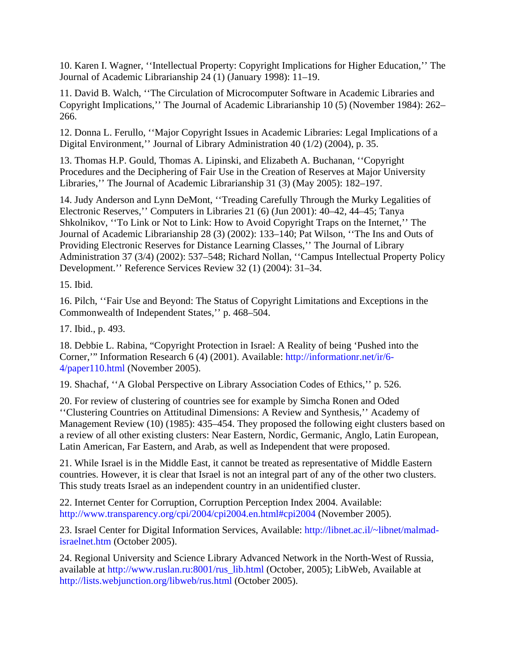10. Karen I. Wagner, ''Intellectual Property: Copyright Implications for Higher Education,'' The Journal of Academic Librarianship 24 (1) (January 1998): 11–19.

11. David B. Walch, ''The Circulation of Microcomputer Software in Academic Libraries and Copyright Implications,'' The Journal of Academic Librarianship 10 (5) (November 1984): 262– 266.

12. Donna L. Ferullo, ''Major Copyright Issues in Academic Libraries: Legal Implications of a Digital Environment,'' Journal of Library Administration 40 (1/2) (2004), p. 35.

13. Thomas H.P. Gould, Thomas A. Lipinski, and Elizabeth A. Buchanan, ''Copyright Procedures and the Deciphering of Fair Use in the Creation of Reserves at Major University Libraries,'' The Journal of Academic Librarianship 31 (3) (May 2005): 182–197.

14. Judy Anderson and Lynn DeMont, ''Treading Carefully Through the Murky Legalities of Electronic Reserves,'' Computers in Libraries 21 (6) (Jun 2001): 40–42, 44–45; Tanya Shkolnikov, ''To Link or Not to Link: How to Avoid Copyright Traps on the Internet,'' The Journal of Academic Librarianship 28 (3) (2002): 133–140; Pat Wilson, ''The Ins and Outs of Providing Electronic Reserves for Distance Learning Classes,'' The Journal of Library Administration 37 (3/4) (2002): 537–548; Richard Nollan, ''Campus Intellectual Property Policy Development.'' Reference Services Review 32 (1) (2004): 31–34.

15. Ibid.

16. Pilch, ''Fair Use and Beyond: The Status of Copyright Limitations and Exceptions in the Commonwealth of Independent States,'' p. 468–504.

17. Ibid., p. 493.

18. Debbie L. Rabina, "Copyright Protection in Israel: A Reality of being 'Pushed into the Corner,'" Information Research 6 (4) (2001). Available: http://informationr.net/ir/6- 4/paper110.html (November 2005).

19. Shachaf, ''A Global Perspective on Library Association Codes of Ethics,'' p. 526.

20. For review of clustering of countries see for example by Simcha Ronen and Oded ''Clustering Countries on Attitudinal Dimensions: A Review and Synthesis,'' Academy of Management Review (10) (1985): 435–454. They proposed the following eight clusters based on a review of all other existing clusters: Near Eastern, Nordic, Germanic, Anglo, Latin European, Latin American, Far Eastern, and Arab, as well as Independent that were proposed.

21. While Israel is in the Middle East, it cannot be treated as representative of Middle Eastern countries. However, it is clear that Israel is not an integral part of any of the other two clusters. This study treats Israel as an independent country in an unidentified cluster.

22. Internet Center for Corruption, Corruption Perception Index 2004. Available: http://www.transparency.org/cpi/2004/cpi2004.en.html#cpi2004 (November 2005).

23. Israel Center for Digital Information Services, Available: http://libnet.ac.il/~libnet/malmadisraelnet.htm (October 2005).

24. Regional University and Science Library Advanced Network in the North-West of Russia, available at http://www.ruslan.ru:8001/rus\_lib.html (October, 2005); LibWeb, Available at http://lists.webjunction.org/libweb/rus.html (October 2005).